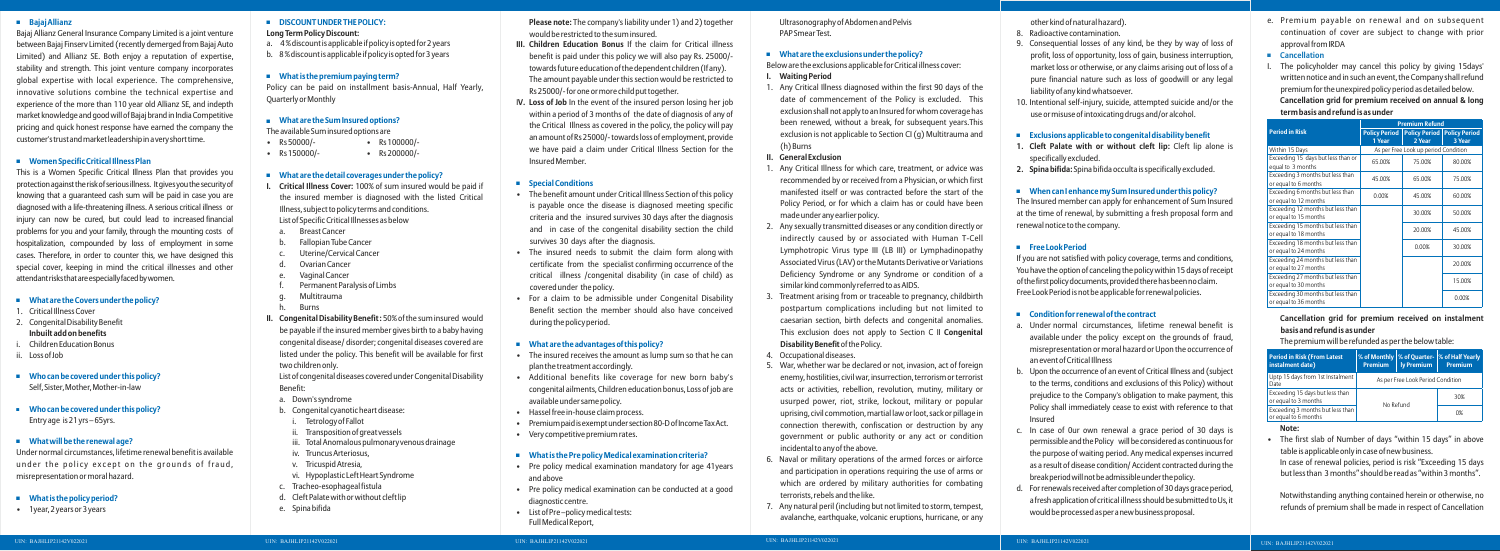# **Bajaj Allianz**

Bajaj Allianz General Insurance Company Limited is a joint venture between Bajaj Finserv Limited (recently demerged from Bajaj Auto Limited) and Allianz SE. Both enjoy a reputation of expertise, stability and strength. This joint venture company incorporates global expertise with local experience. The comprehensive, innovative solutions combine the technical expertise and experience of the more than 110 year old Allianz SE, and indepth market knowledge and good will of Bajaj brand in India Competitive pricing and quick honest response have earned the company the customer'strustandmarketleadershipinaveryshorttime.

# **Women Specific Critical Illness Plan**

This is a Women Specific Critical Illness Plan that provides you protectionagainsttheriskofseriousillness. Itgivesyouthesecurityof knowing that a guaranteed cash sum will be paid in case you are diagnosed with a life-threatening illness. A serious critical illness or injury can now be cured, but could lead to increased financial problems for you and your family, through the mounting costs of hospitalization, compounded by loss of employment in some cases. Therefore, in order to counter this, we have designed this special cover, keeping in mind the critical illnesses and other attendantrisksthatareespeciallyfacedbywomen.

# **What are the Covers under the policy?**

- 1. Critical Illness Cover
- 2. Congenital Disability Benefit **Inbuilt add on benefits**
- i. Children Education Bonus
- ii. Loss of Job
- **Who can be covered under this policy?** Self, Sister, Mother, Mother-in-law
- **Who can be covered under this policy?** Entry age is 21 yrs – 65yrs.

# **What will be the renewal age?**

Under normal circumstances, lifetime renewal benefit is available under the policy except on the grounds of fraud, misrepresentation or moral hazard.

- **What is the policy period?**
- 1year, 2 years or 3 years

# **B** DISCOUNT UNDER THE POLICY:

#### **Long Term Policy Discount:**

- a. 4 % discount is applicable if policy is opted for 2 years
- b. 8 % discount is applicable if policy is opted for 3 years

# **What is the premium paying term?**

Policy can be paid on installment basis-Annual, Half Yearly, Quarterly or Monthly

# **What are the Sum Insured options?**

The available Sum insured options are

- Rs 50000/- Rs 100000/-
- Rs 150000/- Rs 200000/-

# **What are the detail coverages under the policy?**

- **I. Critical Illness Cover:** 100% of sum insured would be paid if the insured member is diagnosed with the listed Critical Illness, subject to policy terms and conditions. List of Specific Critical Illnesses as below
- a. Breast Cancer
- Fallopian Tube Cancer
- Uterine/Cervical Cancer
- Ovarian Cancer
- Vaginal Cancer
- Permanent Paralysis of Limbs
- Multitrauma
- **Burns**
- **II. Congenital Disability Benefit :** 50% of the sum insured would be payable if the insured member gives birth to a baby having congenital disease/ disorder; congenital diseases covered are listed under the policy. This benefit will be available for first two children only.

List of congenital diseases covered under Congenital Disability Benefit:

- a. Down's syndrome
- b. Congenital cyanotic heart disease:
- Tetrology of Fallot
- ii. Transposition of great vessels
- iii. Total Anomalous pulmonary venous drainage
- iv. Truncus Arteriosus,
- v. Tricuspid Atresia,
- vi. Hypoplastic Left Heart Syndrome
- c. Tracheo-esophageal fistula
- d. Cleft Palate with or without cleft lip
- e. Spina bifida

**Please note:** The company's liability under 1) and 2) together would be restricted to the sum insured.

> 6. Naval or military operations of the armed forces or airforce and participation in operations requiring the use of arms or which are ordered by military authorities for combating

- **III. Children Education Bonus** If the claim for Critical illness benefit is paid under this policy we will also pay Rs. 25000/ towards future education of the dependent children (If any). The amount payable under this section would be restricted to Rs 25000/- for one or more child put together.
- I**V. Loss of Job** In the event of the insured person losing her job within a period of 3 months of the date of diagnosis of any of the Critical Illness as covered in the policy, the policy will pay an amount of Rs 25000/- towards loss of employment, provide we have paid a claim under Critical Illness Section for the Insured Member.

# **Special Conditions**

- a. Under normal circumstances, lifetime renewal benefit is available under the policy except on the grounds of fraud, misrepresentation or moral hazard or Upon the occurrence of an event of Critical Illness
- b. Upon the occurrence of an event of Critical Illness and (subject to the terms, conditions and exclusions of this Policy) without prejudice to the Company's obligation to make payment, this Policy shall immediately cease to exist with reference to that Insured
- c. In case of 0ur own renewal a grace period of 30 days is permissible and the Policy will be considered as continuous for the purpose of waiting period. Any medical expenses incurred as a result of disease condition/Accident contracted during the break period will not be admissible under the policy.
- d. For renewals received after completion of 30 days grace period, a fresh application of critical illness should be submitted to Us, it would be processed as per a new business proposal.
- The benefit amount under Critical Illness Section of this policy is payable once the disease is diagnosed meeting specific criteria and the insured survives 30 days after the diagnosis and in case of the congenital disability section the child survives 30 days after the diagnosis.
- The insured needs to submit the claim form along with certificate from the specialist confirming occurrence of the critical illness /congenital disability (in case of child) as covered under the policy.
- For a claim to be admissible under Congenital Disability Benefit section the member should also have conceived during the policy period.

# **What are the advantages of this policy?**

- The insured receives the amount as lump sum so that he can plan the treatment accordingly.
- Additional benefits like coverage for new born baby's congenital ailments, Children education bonus, Loss of job are available under same policy.
- Hassel free in-house claim process.
- Premiumpaidisexemptundersection80-DofIncomeTaxAct.
- Very competitive premium rates.

# **What is the Pre policy Medical examination criteria?**

The policyholder may cancel this policy by giving 15days' written notice and in such an event, the Company shall refund premium for the unexpired policy period as detailed below. **Cancellation grid for premium received on annual & long term basis and refund is as under**

- Pre policy medical examination mandatory for age 41years and above
- Pre policy medical examination can be conducted at a good diagnostic centre.
- List of Pre –policy medical tests: Full Medical Report,

# Ultrasonography of Abdomen and Pelvis

PAP Smear Test.

# **What are the exclusions under the policy?**

Below are the exclusions applicable for Critical illness cover: **I. Waiting Period**

1. Any Critical Illness diagnosed within the first 90 days of the date of commencement of the Policy is excluded. This exclusion shall not apply to an Insured for whom coverage has been renewed, without a break, for subsequent years.This exclusion is not applicable to Section CI (g) Multitrauma and

- 
- (h) Burns

# **II. General Exclusion**

1. Any Critical Illness for which care, treatment, or advice was recommended by or received from a Physician, or which first manifested itself or was contracted before the start of the Policy Period, or for which a claim has or could have been

2. Any sexually transmitted diseases or any condition directly or indirectly caused by or associated with Human T-Cell Lymphotropic Virus type III (LB III) or Lymphadinopathy Associated Virus (LAV) or the Mutants Derivative or Variations Deficiency Syndrome or any Syndrome or condition of a similar kind commonly referred to as AIDS.

- made under any earlier policy.
- 
- **Disability Benefit**of the Policy.

3. Treatment arising from or traceable to pregnancy, childbirth postpartum complications including but not limited to caesarian section, birth defects and congenital anomalies. This exclusion does not apply to Section C II **Congenital** 

# 4. Occupational diseases.

5. War, whether war be declared or not, invasion, act of foreign enemy, hostilities, civil war, insurrection, terrorism or terrorist acts or activities, rebellion, revolution, mutiny, military or usurped power, riot, strike, lockout, military or popular uprising, civil commotion, martial law or loot, sack or pillage in connection therewith, confiscation or destruction by any government or public authority or any act or condition incidental to any of the above.

- 
- terrorists, rebels and the like.
- 

7. Any natural peril (including but not limited to storm, tempest, avalanche, earthquake, volcanic eruptions, hurricane, or any other kind of natural hazard).

- 8. Radioactive contamination.
- 9. Consequential losses of any kind, be they by way of loss of profit, loss of opportunity, loss of gain, business interruption, market loss or otherwise, or any claims arising out of loss of a pure financial nature such as loss of goodwill or any legal liability of any kind whatsoever.
- 10. Intentional self-injury, suicide, attempted suicide and/or the use or misuse of intoxicating drugs and/or alcohol.

# **Exclusions applicable to congenital disability benefit**

- **1. Cleft Palate with or without cleft lip:** Cleft lip alone is specifically excluded.
- **2. Spina bifida:** Spina bifida occulta is specifically excluded.

# **When can I enhance my Sum Insured under this policy?**

The Insured member can apply for enhancement of Sum Insured at the time of renewal, by submitting a fresh proposal form and renewal notice to the company.

# **Free Look Period**

If you are not satisfied with policy coverage, terms and conditions, You have the option of canceling the policy within 15 days of receipt ofthefirstpolicydocuments,providedtherehasbeennoclaim. Free Look Period is not be applicable for renewal policies.

# **Condition for renewal of the contract**

| <b>Period in Risk (From Latest</b><br>instalment date)   | <b>Premium</b>                    | ly Premium | % of Monthly   % of Quarter-   % of Half Yearly<br>Premium |  |
|----------------------------------------------------------|-----------------------------------|------------|------------------------------------------------------------|--|
| Uptp 15 days from 1st Instalment<br>Date                 | As per Free Look Period Condition |            |                                                            |  |
| Exceeding 15 days but less than<br>or equal to 3 months  | No Refund                         |            | 30%                                                        |  |
| Exceeding 3 months but less than<br>or equal to 6 months |                                   |            | 0%                                                         |  |

e. Premium payable on renewal and on subsequent continuation of cover are subject to change with prior approval from IRDA

# **Cancellation**

# **Cancellation grid for premium received on instalment basis and refund is as under**

The premium will be refunded as per the below table:

# **Note:**

• The first slab of Number of days "within 15 days" in above table is applicable only in case of new business. In case of renewal policies, period is risk "Exceeding 15 days but less than 3 months" should be read as "within 3 months".

Notwithstanding anything contained herein or otherwise, no refunds of premium shall be made in respect of Cancellation

|                                                            | <b>Premium Refund</b>                |        |                                      |  |
|------------------------------------------------------------|--------------------------------------|--------|--------------------------------------|--|
| <b>Period in Risk</b>                                      | <b>Policy Period</b>                 |        | <b>Policy Period   Policy Period</b> |  |
|                                                            | 1 Year                               | 2 Year | 3 Year                               |  |
| Within 15 Days                                             | As per Free Look up period Condition |        |                                      |  |
| Exceeding 15 days but less than or<br>equal to 3 months    | 65.00%                               | 75.00% | 80.00%                               |  |
| Exceeding 3 months but less than<br>or equal to 6 months   | 45.00%                               | 65.00% | 75.00%                               |  |
| Exceeding 6 months but less than<br>or equal to 12 months  | 0.00%                                | 45.00% | 60.00%                               |  |
| Exceeding 12 months but less than<br>or equal to 15 months |                                      | 30.00% | 50.00%                               |  |
| Exceeding 15 months but less than<br>or equal to 18 months |                                      | 20.00% | 45.00%                               |  |
| Exceeding 18 months but less than<br>or equal to 24 months |                                      | 0.00%  | 30.00%                               |  |
| Exceeding 24 months but less than<br>or equal to 27 months |                                      |        | 20.00%                               |  |
| Exceeding 27 months but less than<br>or equal to 30 months |                                      |        | 15.00%                               |  |
| Exceeding 30 months but less than<br>or equal to 36 months |                                      |        | 0.00%                                |  |